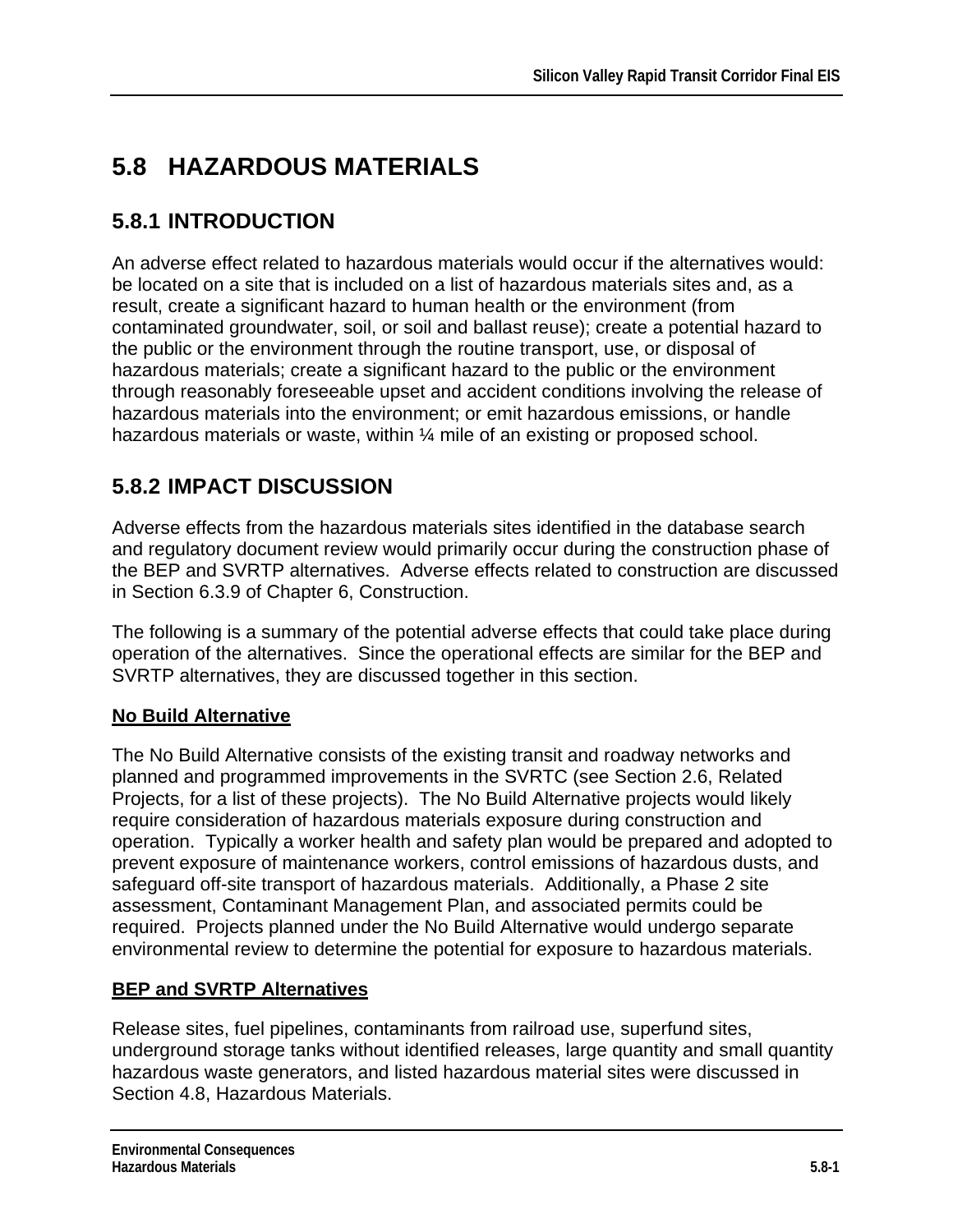# **5.8 HAZARDOUS MATERIALS**

# **5.8.1 INTRODUCTION**

An adverse effect related to hazardous materials would occur if the alternatives would: be located on a site that is included on a list of hazardous materials sites and, as a result, create a significant hazard to human health or the environment (from contaminated groundwater, soil, or soil and ballast reuse); create a potential hazard to the public or the environment through the routine transport, use, or disposal of hazardous materials; create a significant hazard to the public or the environment through reasonably foreseeable upset and accident conditions involving the release of hazardous materials into the environment; or emit hazardous emissions, or handle hazardous materials or waste, within 1/4 mile of an existing or proposed school.

# **5.8.2 IMPACT DISCUSSION**

Adverse effects from the hazardous materials sites identified in the database search and regulatory document review would primarily occur during the construction phase of the BEP and SVRTP alternatives. Adverse effects related to construction are discussed in Section 6.3.9 of Chapter 6, Construction.

The following is a summary of the potential adverse effects that could take place during operation of the alternatives. Since the operational effects are similar for the BEP and SVRTP alternatives, they are discussed together in this section.

### **No Build Alternative**

The No Build Alternative consists of the existing transit and roadway networks and planned and programmed improvements in the SVRTC (see Section 2.6, Related Projects, for a list of these projects). The No Build Alternative projects would likely require consideration of hazardous materials exposure during construction and operation. Typically a worker health and safety plan would be prepared and adopted to prevent exposure of maintenance workers, control emissions of hazardous dusts, and safeguard off-site transport of hazardous materials. Additionally, a Phase 2 site assessment, Contaminant Management Plan, and associated permits could be required. Projects planned under the No Build Alternative would undergo separate environmental review to determine the potential for exposure to hazardous materials.

### **BEP and SVRTP Alternatives**

Release sites, fuel pipelines, contaminants from railroad use, superfund sites, underground storage tanks without identified releases, large quantity and small quantity hazardous waste generators, and listed hazardous material sites were discussed in Section 4.8, Hazardous Materials.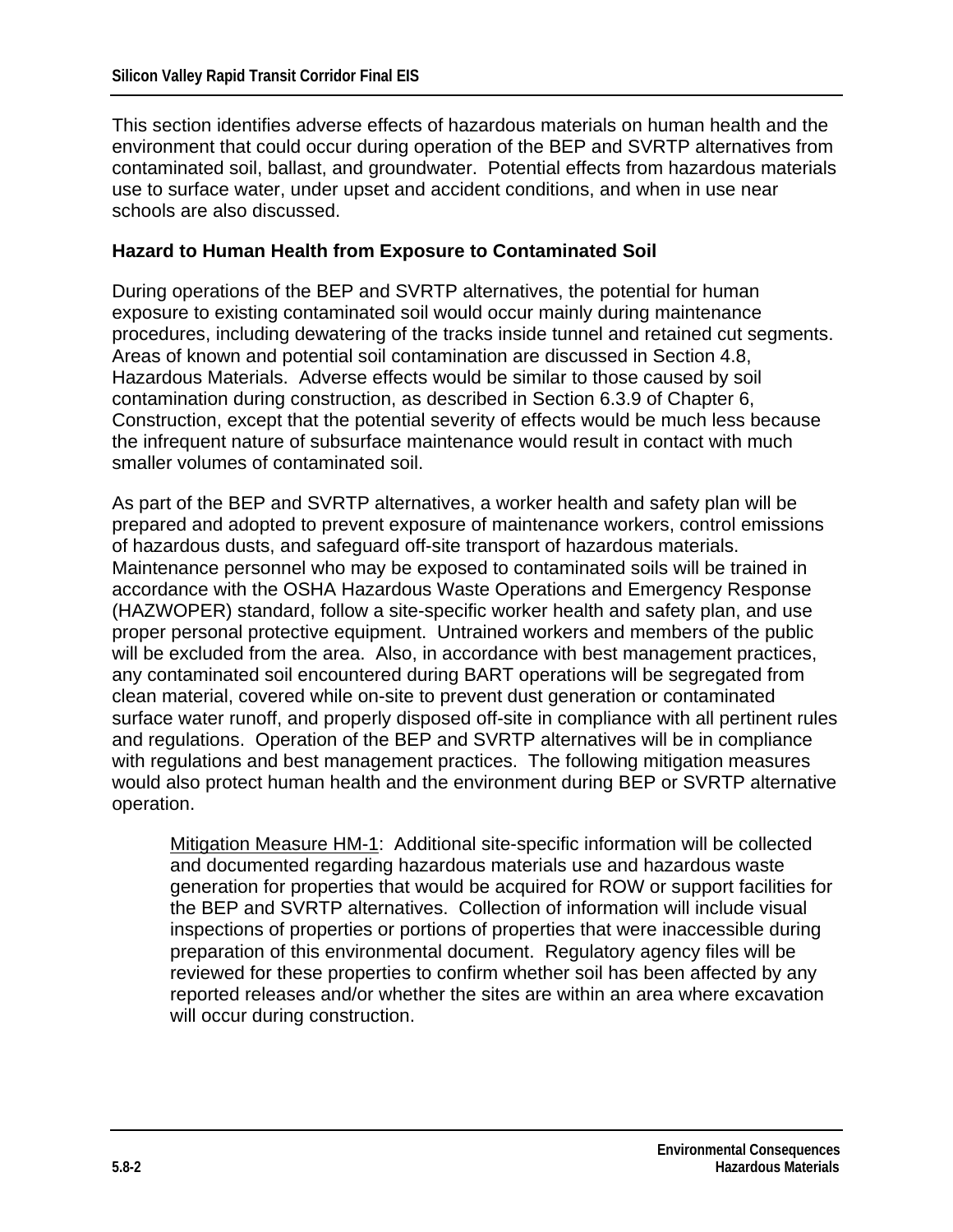This section identifies adverse effects of hazardous materials on human health and the environment that could occur during operation of the BEP and SVRTP alternatives from contaminated soil, ballast, and groundwater. Potential effects from hazardous materials use to surface water, under upset and accident conditions, and when in use near schools are also discussed.

#### **Hazard to Human Health from Exposure to Contaminated Soil**

During operations of the BEP and SVRTP alternatives, the potential for human exposure to existing contaminated soil would occur mainly during maintenance procedures, including dewatering of the tracks inside tunnel and retained cut segments. Areas of known and potential soil contamination are discussed in Section 4.8, Hazardous Materials. Adverse effects would be similar to those caused by soil contamination during construction, as described in Section 6.3.9 of Chapter 6, Construction, except that the potential severity of effects would be much less because the infrequent nature of subsurface maintenance would result in contact with much smaller volumes of contaminated soil.

As part of the BEP and SVRTP alternatives, a worker health and safety plan will be prepared and adopted to prevent exposure of maintenance workers, control emissions of hazardous dusts, and safeguard off-site transport of hazardous materials. Maintenance personnel who may be exposed to contaminated soils will be trained in accordance with the OSHA Hazardous Waste Operations and Emergency Response (HAZWOPER) standard, follow a site-specific worker health and safety plan, and use proper personal protective equipment. Untrained workers and members of the public will be excluded from the area. Also, in accordance with best management practices, any contaminated soil encountered during BART operations will be segregated from clean material, covered while on-site to prevent dust generation or contaminated surface water runoff, and properly disposed off-site in compliance with all pertinent rules and regulations. Operation of the BEP and SVRTP alternatives will be in compliance with regulations and best management practices. The following mitigation measures would also protect human health and the environment during BEP or SVRTP alternative operation.

Mitigation Measure HM-1: Additional site-specific information will be collected and documented regarding hazardous materials use and hazardous waste generation for properties that would be acquired for ROW or support facilities for the BEP and SVRTP alternatives. Collection of information will include visual inspections of properties or portions of properties that were inaccessible during preparation of this environmental document. Regulatory agency files will be reviewed for these properties to confirm whether soil has been affected by any reported releases and/or whether the sites are within an area where excavation will occur during construction.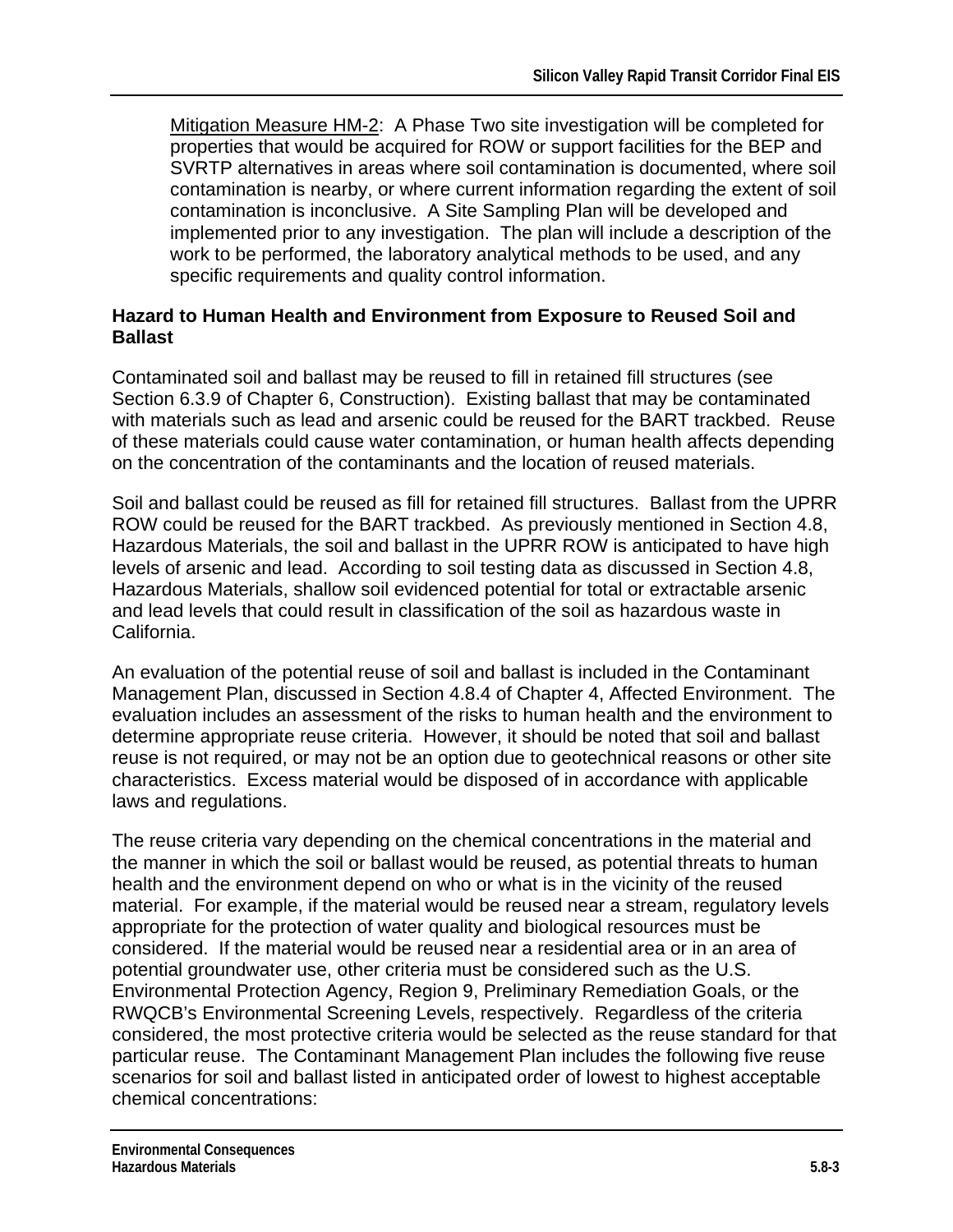Mitigation Measure HM-2: A Phase Two site investigation will be completed for properties that would be acquired for ROW or support facilities for the BEP and SVRTP alternatives in areas where soil contamination is documented, where soil contamination is nearby, or where current information regarding the extent of soil contamination is inconclusive. A Site Sampling Plan will be developed and implemented prior to any investigation. The plan will include a description of the work to be performed, the laboratory analytical methods to be used, and any specific requirements and quality control information.

#### **Hazard to Human Health and Environment from Exposure to Reused Soil and Ballast**

Contaminated soil and ballast may be reused to fill in retained fill structures (see Section 6.3.9 of Chapter 6, Construction). Existing ballast that may be contaminated with materials such as lead and arsenic could be reused for the BART trackbed. Reuse of these materials could cause water contamination, or human health affects depending on the concentration of the contaminants and the location of reused materials.

Soil and ballast could be reused as fill for retained fill structures. Ballast from the UPRR ROW could be reused for the BART trackbed. As previously mentioned in Section 4.8, Hazardous Materials, the soil and ballast in the UPRR ROW is anticipated to have high levels of arsenic and lead. According to soil testing data as discussed in Section 4.8, Hazardous Materials, shallow soil evidenced potential for total or extractable arsenic and lead levels that could result in classification of the soil as hazardous waste in California.

An evaluation of the potential reuse of soil and ballast is included in the Contaminant Management Plan, discussed in Section 4.8.4 of Chapter 4, Affected Environment. The evaluation includes an assessment of the risks to human health and the environment to determine appropriate reuse criteria. However, it should be noted that soil and ballast reuse is not required, or may not be an option due to geotechnical reasons or other site characteristics. Excess material would be disposed of in accordance with applicable laws and regulations.

The reuse criteria vary depending on the chemical concentrations in the material and the manner in which the soil or ballast would be reused, as potential threats to human health and the environment depend on who or what is in the vicinity of the reused material. For example, if the material would be reused near a stream, regulatory levels appropriate for the protection of water quality and biological resources must be considered. If the material would be reused near a residential area or in an area of potential groundwater use, other criteria must be considered such as the U.S. Environmental Protection Agency, Region 9, Preliminary Remediation Goals, or the RWQCB's Environmental Screening Levels, respectively. Regardless of the criteria considered, the most protective criteria would be selected as the reuse standard for that particular reuse. The Contaminant Management Plan includes the following five reuse scenarios for soil and ballast listed in anticipated order of lowest to highest acceptable chemical concentrations: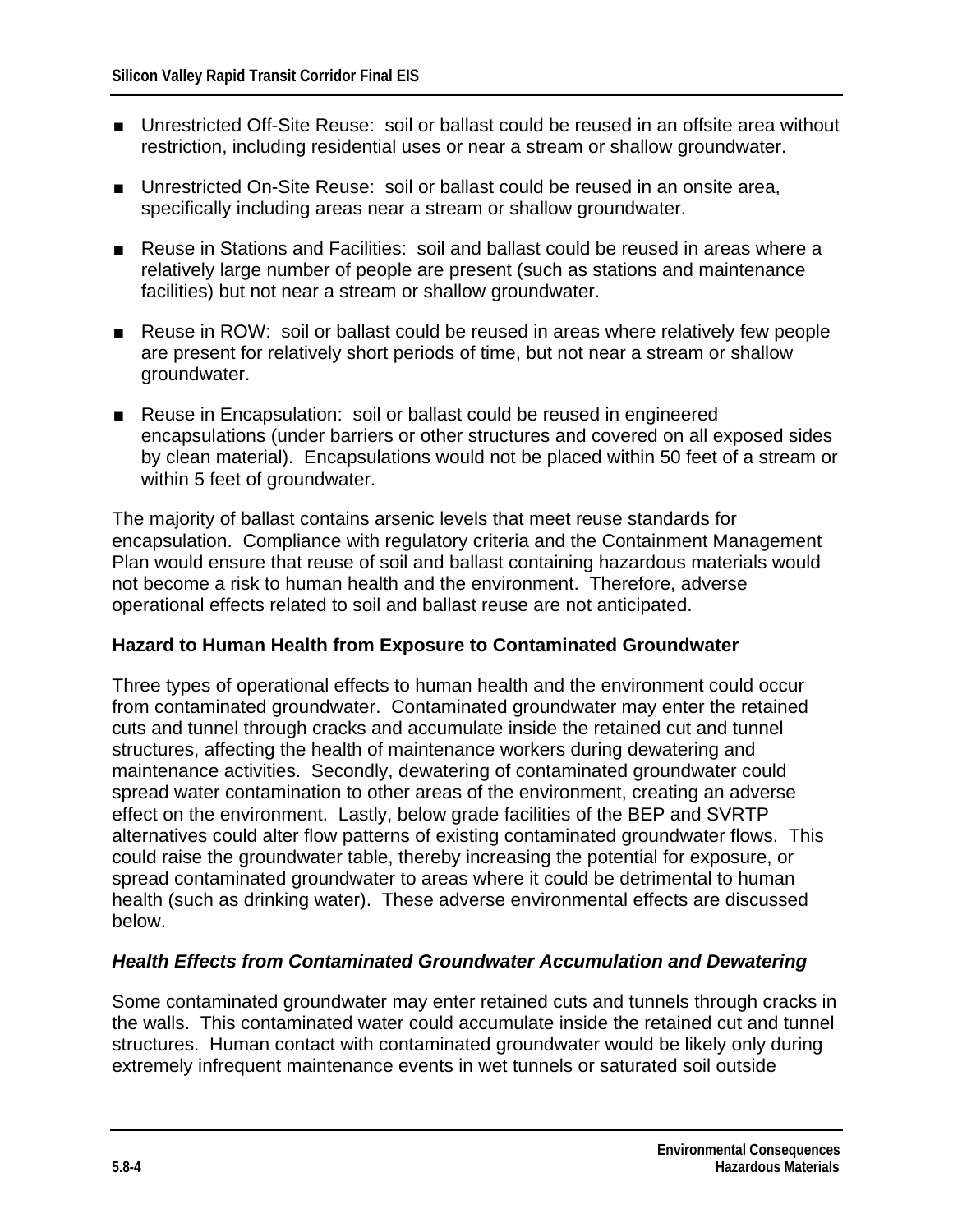- Unrestricted Off-Site Reuse: soil or ballast could be reused in an offsite area without restriction, including residential uses or near a stream or shallow groundwater.
- Unrestricted On-Site Reuse: soil or ballast could be reused in an onsite area, specifically including areas near a stream or shallow groundwater.
- Reuse in Stations and Facilities: soil and ballast could be reused in areas where a relatively large number of people are present (such as stations and maintenance facilities) but not near a stream or shallow groundwater.
- Reuse in ROW: soil or ballast could be reused in areas where relatively few people are present for relatively short periods of time, but not near a stream or shallow groundwater.
- Reuse in Encapsulation: soil or ballast could be reused in engineered encapsulations (under barriers or other structures and covered on all exposed sides by clean material). Encapsulations would not be placed within 50 feet of a stream or within 5 feet of groundwater.

The majority of ballast contains arsenic levels that meet reuse standards for encapsulation. Compliance with regulatory criteria and the Containment Management Plan would ensure that reuse of soil and ballast containing hazardous materials would not become a risk to human health and the environment. Therefore, adverse operational effects related to soil and ballast reuse are not anticipated.

#### **Hazard to Human Health from Exposure to Contaminated Groundwater**

Three types of operational effects to human health and the environment could occur from contaminated groundwater. Contaminated groundwater may enter the retained cuts and tunnel through cracks and accumulate inside the retained cut and tunnel structures, affecting the health of maintenance workers during dewatering and maintenance activities. Secondly, dewatering of contaminated groundwater could spread water contamination to other areas of the environment, creating an adverse effect on the environment. Lastly, below grade facilities of the BEP and SVRTP alternatives could alter flow patterns of existing contaminated groundwater flows. This could raise the groundwater table, thereby increasing the potential for exposure, or spread contaminated groundwater to areas where it could be detrimental to human health (such as drinking water). These adverse environmental effects are discussed below.

#### *Health Effects from Contaminated Groundwater Accumulation and Dewatering*

Some contaminated groundwater may enter retained cuts and tunnels through cracks in the walls. This contaminated water could accumulate inside the retained cut and tunnel structures. Human contact with contaminated groundwater would be likely only during extremely infrequent maintenance events in wet tunnels or saturated soil outside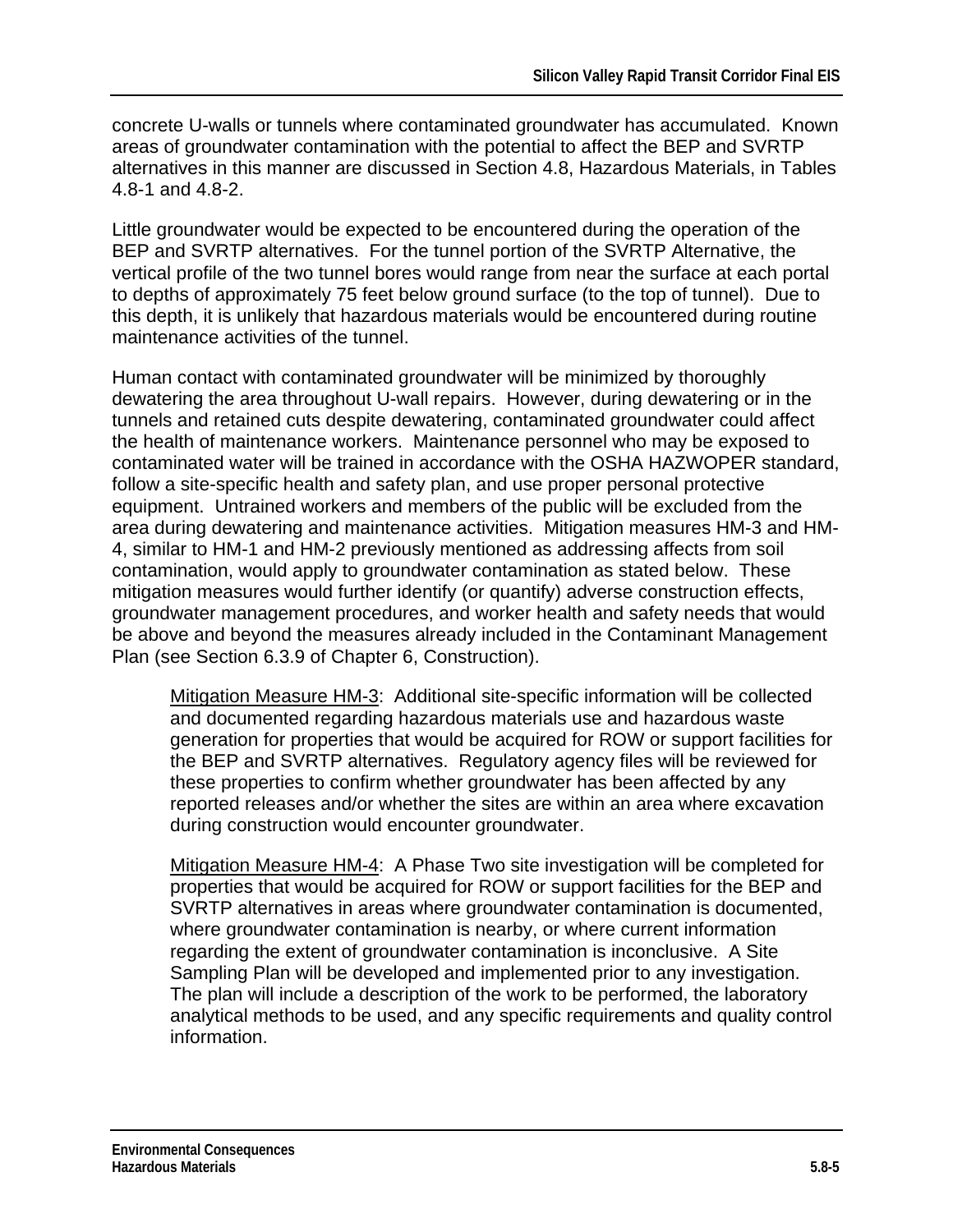concrete U-walls or tunnels where contaminated groundwater has accumulated. Known areas of groundwater contamination with the potential to affect the BEP and SVRTP alternatives in this manner are discussed in Section 4.8, Hazardous Materials, in Tables 4.8-1 and 4.8-2.

Little groundwater would be expected to be encountered during the operation of the BEP and SVRTP alternatives. For the tunnel portion of the SVRTP Alternative, the vertical profile of the two tunnel bores would range from near the surface at each portal to depths of approximately 75 feet below ground surface (to the top of tunnel). Due to this depth, it is unlikely that hazardous materials would be encountered during routine maintenance activities of the tunnel.

Human contact with contaminated groundwater will be minimized by thoroughly dewatering the area throughout U-wall repairs. However, during dewatering or in the tunnels and retained cuts despite dewatering, contaminated groundwater could affect the health of maintenance workers. Maintenance personnel who may be exposed to contaminated water will be trained in accordance with the OSHA HAZWOPER standard, follow a site-specific health and safety plan, and use proper personal protective equipment. Untrained workers and members of the public will be excluded from the area during dewatering and maintenance activities. Mitigation measures HM-3 and HM-4, similar to HM-1 and HM-2 previously mentioned as addressing affects from soil contamination, would apply to groundwater contamination as stated below. These mitigation measures would further identify (or quantify) adverse construction effects, groundwater management procedures, and worker health and safety needs that would be above and beyond the measures already included in the Contaminant Management Plan (see Section 6.3.9 of Chapter 6, Construction).

Mitigation Measure HM-3: Additional site-specific information will be collected and documented regarding hazardous materials use and hazardous waste generation for properties that would be acquired for ROW or support facilities for the BEP and SVRTP alternatives. Regulatory agency files will be reviewed for these properties to confirm whether groundwater has been affected by any reported releases and/or whether the sites are within an area where excavation during construction would encounter groundwater.

Mitigation Measure HM-4: A Phase Two site investigation will be completed for properties that would be acquired for ROW or support facilities for the BEP and SVRTP alternatives in areas where groundwater contamination is documented, where groundwater contamination is nearby, or where current information regarding the extent of groundwater contamination is inconclusive. A Site Sampling Plan will be developed and implemented prior to any investigation. The plan will include a description of the work to be performed, the laboratory analytical methods to be used, and any specific requirements and quality control information.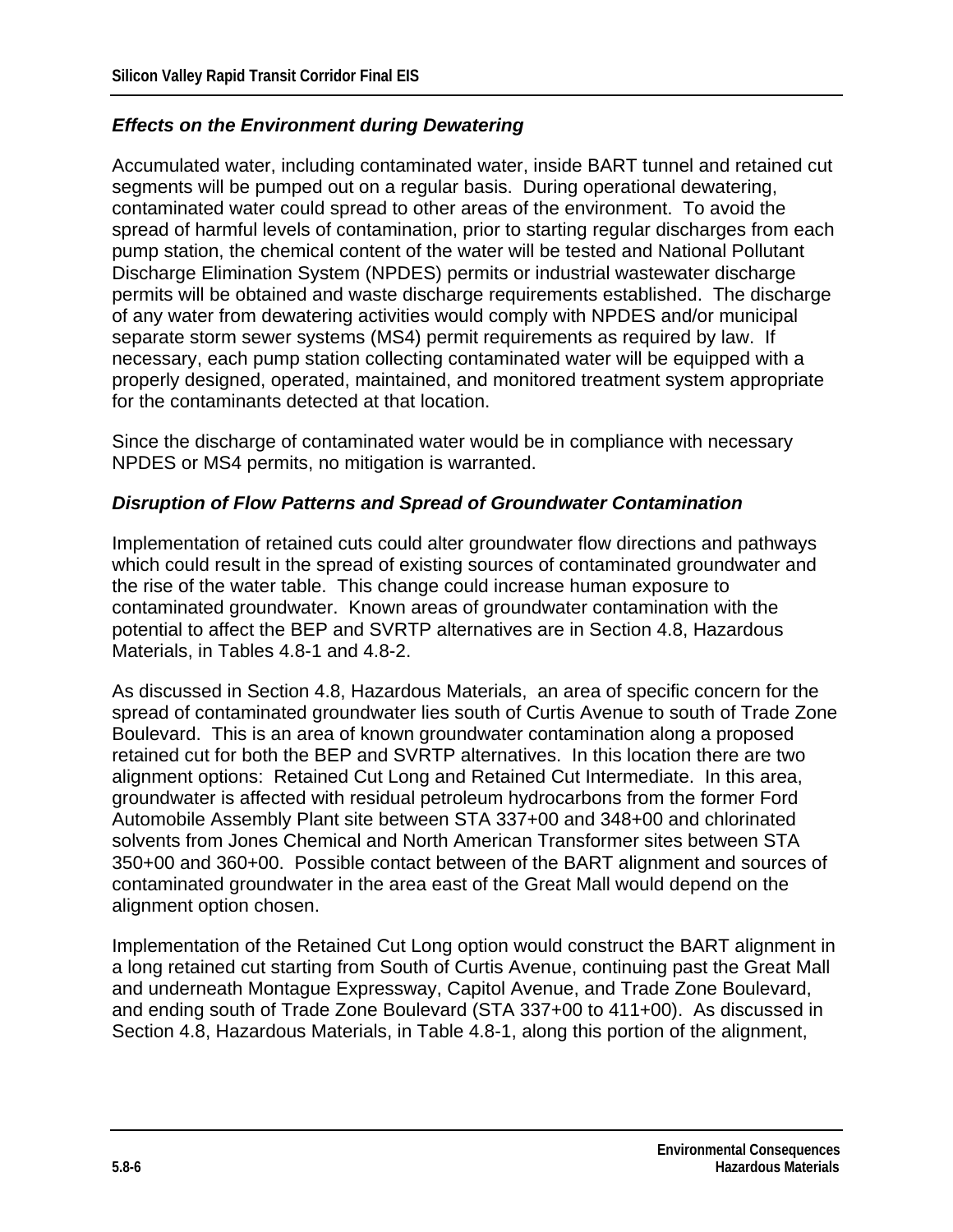#### *Effects on the Environment during Dewatering*

Accumulated water, including contaminated water, inside BART tunnel and retained cut segments will be pumped out on a regular basis. During operational dewatering, contaminated water could spread to other areas of the environment. To avoid the spread of harmful levels of contamination, prior to starting regular discharges from each pump station, the chemical content of the water will be tested and National Pollutant Discharge Elimination System (NPDES) permits or industrial wastewater discharge permits will be obtained and waste discharge requirements established. The discharge of any water from dewatering activities would comply with NPDES and/or municipal separate storm sewer systems (MS4) permit requirements as required by law. If necessary, each pump station collecting contaminated water will be equipped with a properly designed, operated, maintained, and monitored treatment system appropriate for the contaminants detected at that location.

Since the discharge of contaminated water would be in compliance with necessary NPDES or MS4 permits, no mitigation is warranted.

#### *Disruption of Flow Patterns and Spread of Groundwater Contamination*

Implementation of retained cuts could alter groundwater flow directions and pathways which could result in the spread of existing sources of contaminated groundwater and the rise of the water table. This change could increase human exposure to contaminated groundwater. Known areas of groundwater contamination with the potential to affect the BEP and SVRTP alternatives are in Section 4.8, Hazardous Materials, in Tables 4.8-1 and 4.8-2.

As discussed in Section 4.8, Hazardous Materials, an area of specific concern for the spread of contaminated groundwater lies south of Curtis Avenue to south of Trade Zone Boulevard. This is an area of known groundwater contamination along a proposed retained cut for both the BEP and SVRTP alternatives. In this location there are two alignment options: Retained Cut Long and Retained Cut Intermediate. In this area, groundwater is affected with residual petroleum hydrocarbons from the former Ford Automobile Assembly Plant site between STA 337+00 and 348+00 and chlorinated solvents from Jones Chemical and North American Transformer sites between STA 350+00 and 360+00. Possible contact between of the BART alignment and sources of contaminated groundwater in the area east of the Great Mall would depend on the alignment option chosen.

Implementation of the Retained Cut Long option would construct the BART alignment in a long retained cut starting from South of Curtis Avenue, continuing past the Great Mall and underneath Montague Expressway, Capitol Avenue, and Trade Zone Boulevard, and ending south of Trade Zone Boulevard (STA 337+00 to 411+00). As discussed in Section 4.8, Hazardous Materials, in Table 4.8-1, along this portion of the alignment,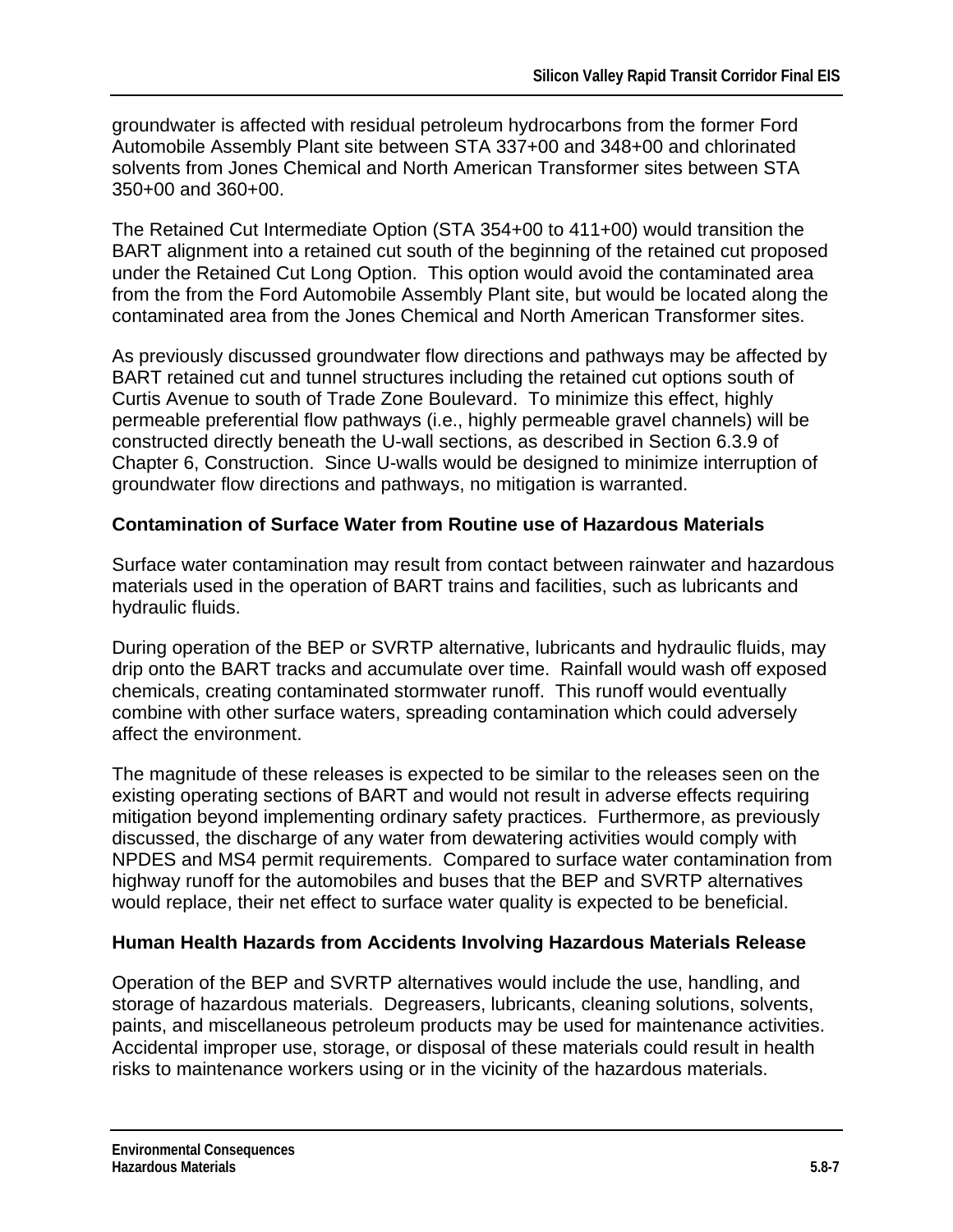groundwater is affected with residual petroleum hydrocarbons from the former Ford Automobile Assembly Plant site between STA 337+00 and 348+00 and chlorinated solvents from Jones Chemical and North American Transformer sites between STA 350+00 and 360+00.

The Retained Cut Intermediate Option (STA 354+00 to 411+00) would transition the BART alignment into a retained cut south of the beginning of the retained cut proposed under the Retained Cut Long Option. This option would avoid the contaminated area from the from the Ford Automobile Assembly Plant site, but would be located along the contaminated area from the Jones Chemical and North American Transformer sites.

As previously discussed groundwater flow directions and pathways may be affected by BART retained cut and tunnel structures including the retained cut options south of Curtis Avenue to south of Trade Zone Boulevard. To minimize this effect, highly permeable preferential flow pathways (i.e., highly permeable gravel channels) will be constructed directly beneath the U-wall sections, as described in Section 6.3.9 of Chapter 6, Construction. Since U-walls would be designed to minimize interruption of groundwater flow directions and pathways, no mitigation is warranted.

#### **Contamination of Surface Water from Routine use of Hazardous Materials**

Surface water contamination may result from contact between rainwater and hazardous materials used in the operation of BART trains and facilities, such as lubricants and hydraulic fluids.

During operation of the BEP or SVRTP alternative, lubricants and hydraulic fluids, may drip onto the BART tracks and accumulate over time. Rainfall would wash off exposed chemicals, creating contaminated stormwater runoff. This runoff would eventually combine with other surface waters, spreading contamination which could adversely affect the environment.

The magnitude of these releases is expected to be similar to the releases seen on the existing operating sections of BART and would not result in adverse effects requiring mitigation beyond implementing ordinary safety practices. Furthermore, as previously discussed, the discharge of any water from dewatering activities would comply with NPDES and MS4 permit requirements. Compared to surface water contamination from highway runoff for the automobiles and buses that the BEP and SVRTP alternatives would replace, their net effect to surface water quality is expected to be beneficial.

#### **Human Health Hazards from Accidents Involving Hazardous Materials Release**

Operation of the BEP and SVRTP alternatives would include the use, handling, and storage of hazardous materials. Degreasers, lubricants, cleaning solutions, solvents, paints, and miscellaneous petroleum products may be used for maintenance activities. Accidental improper use, storage, or disposal of these materials could result in health risks to maintenance workers using or in the vicinity of the hazardous materials.